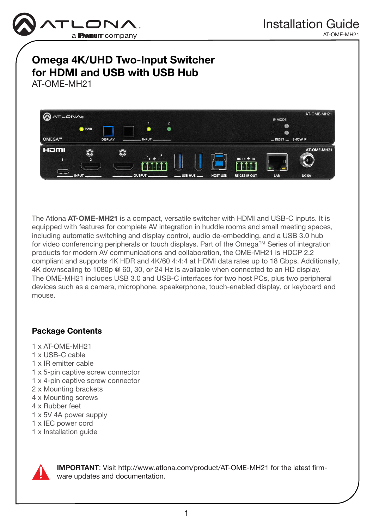

# Omega 4K/UHD Two-Input Switcher for HDMI and USB with USB Hub

AT-OME-MH21



The Atlona AT-OME-MH21 is a compact, versatile switcher with HDMI and USB-C inputs. It is equipped with features for complete AV integration in huddle rooms and small meeting spaces, including automatic switching and display control, audio de-embedding, and a USB 3.0 hub for video conferencing peripherals or touch displays. Part of the Omega™ Series of integration products for modern AV communications and collaboration, the OME-MH21 is HDCP 2.2 compliant and supports 4K HDR and 4K/60 4:4:4 at HDMI data rates up to 18 Gbps. Additionally, 4K downscaling to 1080p @ 60, 30, or 24 Hz is available when connected to an HD display. The OME-MH21 includes USB 3.0 and USB-C interfaces for two host PCs, plus two peripheral devices such as a camera, microphone, speakerphone, touch-enabled display, or keyboard and mouse.

### Package Contents

- 1 x AT-OME-MH21
- 1 x USB-C cable
- 1 x IR emitter cable
- 1 x 5-pin captive screw connector
- 1 x 4-pin captive screw connector
- 2 x Mounting brackets
- 4 x Mounting screws
- 4 x Rubber feet
- 1 x 5V 4A power supply
- 1 x IEC power cord
- 1 x Installation guide



IMPORTANT: Visit http://www.atlona.com/product/AT-OME-MH21 for the latest firmware updates and documentation.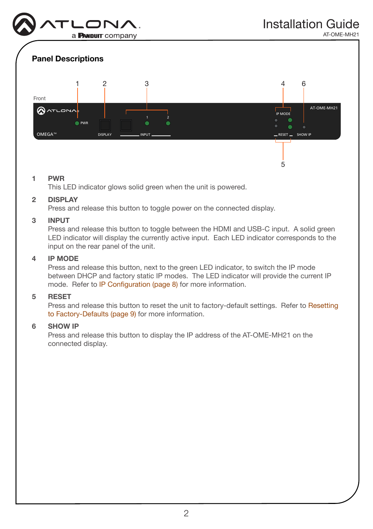



This LED indicator glows solid green when the unit is powered.

### 2 DISPLAY

Press and release this button to toggle power on the connected display.

### 3 INPUT

Press and release this button to toggle between the HDMI and USB-C input. A solid green LED indicator will display the currently active input. Each LED indicator corresponds to the input on the rear panel of the unit.

### 4 IP MODE

Press and release this button, next to the green LED indicator, to switch the IP mode between DHCP and factory static IP modes. The LED indicator will provide the current IP mode. Refer to [IP Configuration \(page 8\)](#page-7-0) for more information.

#### 5 RESET

Press and release this button to reset the unit to factory-default settings. Refer to Resetting [to Factory-Defaults \(page 9\)](#page-8-0) for more information.

#### 6 SHOW IP

Press and release this button to display the IP address of the AT-OME-MH21 on the connected display.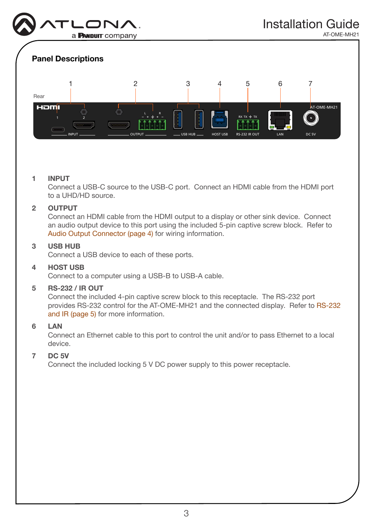

### Panel Descriptions



#### 1 INPUT

Connect a USB-C source to the USB-C port. Connect an HDMI cable from the HDMI port to a UHD/HD source.

#### 2 OUTPUT

Connect an HDMI cable from the HDMI output to a display or other sink device. Connect an audio output device to this port using the included 5-pin captive screw block. Refer to [Audio Output Connector \(page 4\)](#page-3-0) for wiring information.

### 3 USB HUB

Connect a USB device to each of these ports.

#### 4 HOST USB

Connect to a computer using a USB-B to USB-A cable.

#### 5 RS-232 / IR OUT

Connect the included 4-pin captive screw block to this receptacle. The RS-232 port provides RS-232 control for the AT-OME-MH21 and the connected display. Refer to [RS-232](#page-4-0)  [and IR \(page 5\)](#page-4-0) for more information.

#### 6 LAN

Connect an Ethernet cable to this port to control the unit and/or to pass Ethernet to a local device.

#### 7 DC 5V

Connect the included locking 5 V DC power supply to this power receptacle.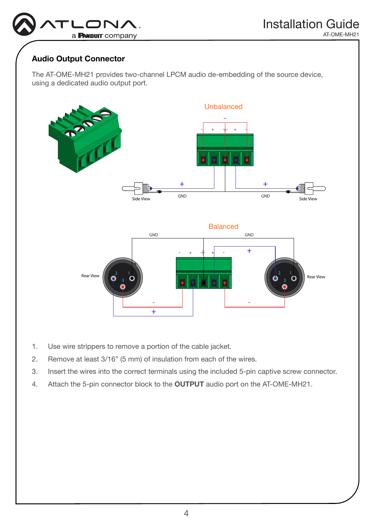

# <span id="page-3-0"></span>Audio Output Connector

The AT-OME-MH21 provides two-channel LPCM audio de-embedding of the source device, using a dedicated audio output port.



- 1. Use wire strippers to remove a portion of the cable jacket.
- 2. Remove at least 3/16" (5 mm) of insulation from each of the wires.
- 3. Insert the wires into the correct terminals using the included 5-pin captive screw connector.
- 4. Attach the 5-pin connector block to the **OUTPUT** audio port on the AT-OME-MH21.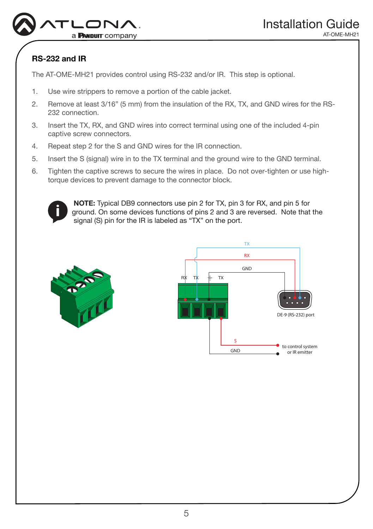

# <span id="page-4-0"></span>RS-232 and IR

The AT-OME-MH21 provides control using RS-232 and/or IR. This step is optional.

- 1. Use wire strippers to remove a portion of the cable jacket.
- 2. Remove at least 3/16" (5 mm) from the insulation of the RX, TX, and GND wires for the RS-232 connection.
- 3. Insert the TX, RX, and GND wires into correct terminal using one of the included 4-pin captive screw connectors.
- 4. Repeat step 2 for the S and GND wires for the IR connection.
- 5. Insert the S (signal) wire in to the TX terminal and the ground wire to the GND terminal.
- 6. Tighten the captive screws to secure the wires in place. Do not over-tighten or use hightorque devices to prevent damage to the connector block.



NOTE: Typical DB9 connectors use pin 2 for TX, pin 3 for RX, and pin 5 for ground. On some devices functions of pins 2 and 3 are reversed. Note that the signal (S) pin for the IR is labeled as "TX" on the port.



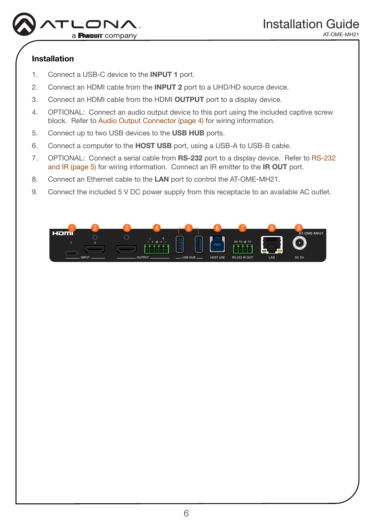

## Installation

- 1. Connect a USB-C device to the **INPUT 1** port.
- 2. Connect an HDMI cable from the **INPUT 2** port to a UHD/HD source device.
- 3. Connect an HDMI cable from the HDMI OUTPUT port to a display device.
- 4. OPTIONAL: Connect an audio output device to this port using the included captive screw block. Refer to [Audio Output Connector \(page 4\)](#page-3-0) for wiring information.
- 5. Connect up to two USB devices to the USB HUB ports.
- 6. Connect a computer to the HOST USB port, using a USB-A to USB-B cable.
- 7. OPTIONAL: Connect a serial cable from RS-232 port to a display device. Refer to [RS-232](#page-4-0)  [and IR \(page 5\)](#page-4-0) for wiring information. Connect an IR emitter to the IR OUT port.
- 8. Connect an Ethernet cable to the LAN port to control the AT-OME-MH21.
- 9. Connect the included 5 V DC power supply from this receptacle to an available AC outlet.

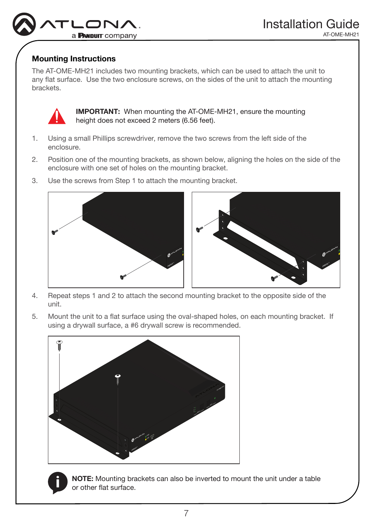

### Mounting Instructions

The AT-OME-MH21 includes two mounting brackets, which can be used to attach the unit to any flat surface. Use the two enclosure screws, on the sides of the unit to attach the mounting brackets.



IMPORTANT: When mounting the AT-OME-MH21, ensure the mounting height does not exceed 2 meters (6.56 feet).

- 1. Using a small Phillips screwdriver, remove the two screws from the left side of the enclosure.
- 2. Position one of the mounting brackets, as shown below, aligning the holes on the side of the enclosure with one set of holes on the mounting bracket.
- 3. Use the screws from Step 1 to attach the mounting bracket.



- 4. Repeat steps 1 and 2 to attach the second mounting bracket to the opposite side of the unit.
- 5. Mount the unit to a flat surface using the oval-shaped holes, on each mounting bracket. If using a drywall surface, a #6 drywall screw is recommended.





NOTE: Mounting brackets can also be inverted to mount the unit under a table or other flat surface.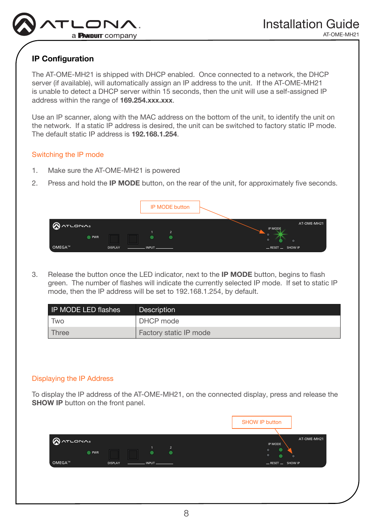

# <span id="page-7-0"></span>IP Configuration

The AT-OME-MH21 is shipped with DHCP enabled. Once connected to a network, the DHCP server (if available), will automatically assign an IP address to the unit. If the AT-OME-MH21 is unable to detect a DHCP server within 15 seconds, then the unit will use a self-assigned IP address within the range of 169.254.xxx.xxx.

Use an IP scanner, along with the MAC address on the bottom of the unit, to identify the unit on the network. If a static IP address is desired, the unit can be switched to factory static IP mode. The default static IP address is 192.168.1.254.

#### Switching the IP mode

- 1. Make sure the AT-OME-MH21 is powered
- 2. Press and hold the **IP MODE** button, on the rear of the unit, for approximately five seconds.



1 2002 Batter of the sactor of the CLB indicate, next to the **in three L** Batteri, begins to hability green. The number of flashes will indicate the currently selected IP mode. If set to static IP 3. Release the button once the LED indicator, next to the IP MODE button, begins to flash  $\mathcal{L}$  Hub Host use  $\mathcal{L}$  is a contract use  $\mathcal{L}$ mode, then the IP address will be set to 192.168.1.254, by default.

| IP MODE LED flashes | Description!           |
|---------------------|------------------------|
| Two                 | DHCP mode              |
| <b>Three</b>        | Factory static IP mode |

#### Displaying the IP Address

To display the IP address of the AT-OME-MH21, on the connected display, press and release the **SHOW IP** button on the front panel.

|                                           |                                                | <b>SHOW IP button</b>                                             |
|-------------------------------------------|------------------------------------------------|-------------------------------------------------------------------|
| <b>ATLONA®</b><br>$\bullet$ PWR<br>OMEGA™ | $\overline{2}$<br>o<br>- 1<br>DISPLAY<br>INPUT | AT-OME-MH21<br>IP MODE<br>۰<br>$\bullet$<br>۰<br>_RESET _ SHOW IP |
|                                           |                                                |                                                                   |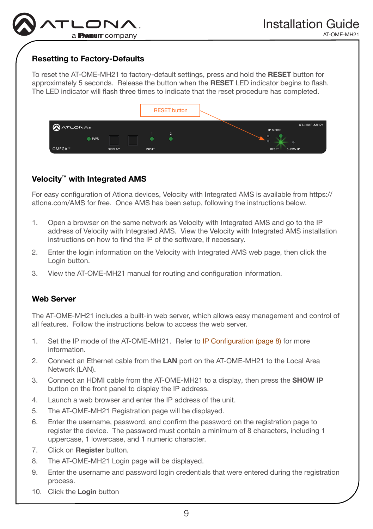

### <span id="page-8-0"></span>Resetting to Factory-Defaults

To reset the AT-OME-MH21 to factory-default settings, press and hold the RESET button for approximately 5 seconds. Release the button when the RESET LED indicator begins to flash. The LED indicator will flash three times to indicate that the reset procedure has completed.



# Velocity™ with Integrated AMS

For easy configuration of Atlona devices, Velocity with Integrated AMS is available from https:// atlona.com/AMS for free. Once AMS has been setup, following the instructions below.

- 1. Open a browser on the same network as Velocity with Integrated AMS and go to the IP address of Velocity with Integrated AMS. View the Velocity with Integrated AMS installation instructions on how to find the IP of the software, if necessary.
- 2. Enter the login information on the Velocity with Integrated AMS web page, then click the Login button.
- 3. View the AT-OME-MH21 manual for routing and configuration information.

### Web Server

The AT-OME-MH21 includes a built-in web server, which allows easy management and control of all features. Follow the instructions below to access the web server.

- 1. Set the IP mode of the AT-OME-MH21. Refer to [IP Configuration \(page 8\)](#page-7-0) for more information.
- 2. Connect an Ethernet cable from the LAN port on the AT-OME-MH21 to the Local Area Network (LAN).
- 3. Connect an HDMI cable from the AT-OME-MH21 to a display, then press the SHOW IP button on the front panel to display the IP address.
- 4. Launch a web browser and enter the IP address of the unit.
- 5. The AT-OME-MH21 Registration page will be displayed.
- 6. Enter the username, password, and confirm the password on the registration page to register the device. The password must contain a minimum of 8 characters, including 1 uppercase, 1 lowercase, and 1 numeric character.
- 7. Click on Register button.
- 8. The AT-OME-MH21 Login page will be displayed.
- 9. Enter the username and password login credentials that were entered during the registration process.
- 10. Click the Login button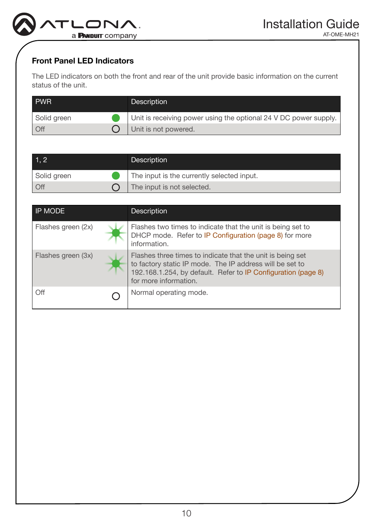# Front Panel LED Indicators

The LED indicators on both the front and rear of the unit provide basic information on the current status of the unit.

| <b>PWR</b>  | Description                                                      |
|-------------|------------------------------------------------------------------|
| Solid green | Unit is receiving power using the optional 24 V DC power supply. |
| <b>Off</b>  | Unit is not powered.                                             |

|             | Description                                |
|-------------|--------------------------------------------|
| Solid green | The input is the currently selected input. |
| <b>Off</b>  | The input is not selected.                 |

| IP MODE            | <b>Description</b>                                                                                                                                                                                               |
|--------------------|------------------------------------------------------------------------------------------------------------------------------------------------------------------------------------------------------------------|
| Flashes green (2x) | Flashes two times to indicate that the unit is being set to<br>DHCP mode. Refer to IP Configuration (page 8) for more<br>information.                                                                            |
| Flashes green (3x) | Flashes three times to indicate that the unit is being set<br>to factory static IP mode. The IP address will be set to<br>192.168.1.254, by default. Refer to IP Configuration (page 8)<br>for more information. |
| Off                | Normal operating mode.                                                                                                                                                                                           |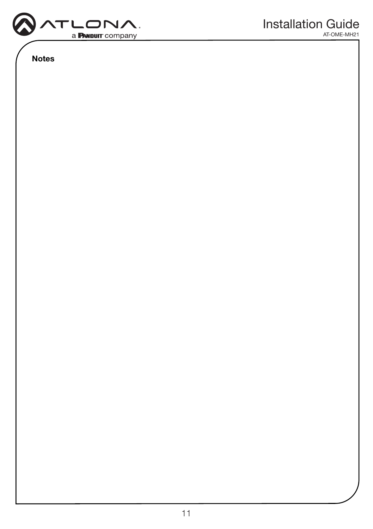

Notes